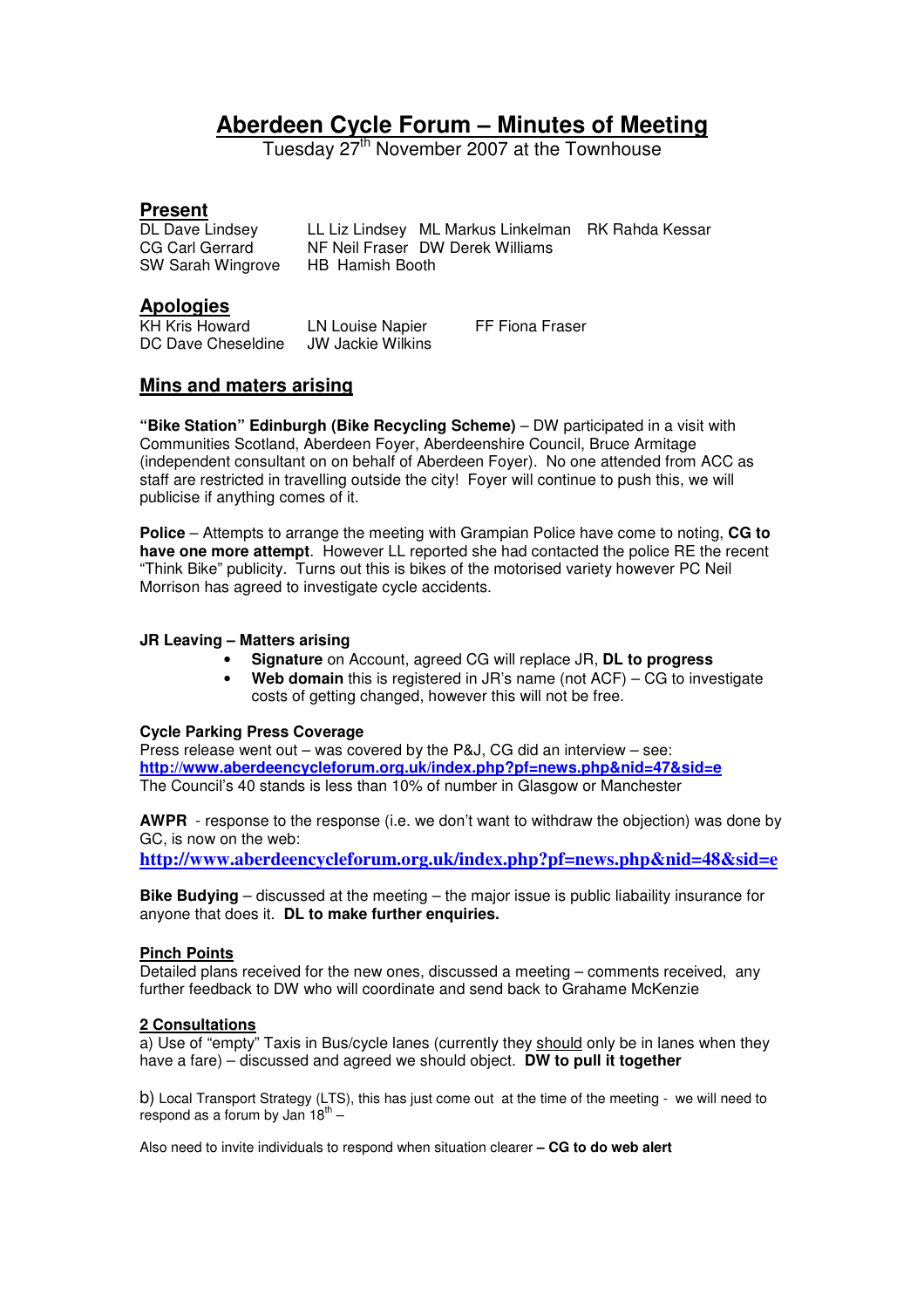# **Aberdeen Cycle Forum – Minutes of Meeting**

Tuesday 27<sup>th</sup> November 2007 at the Townhouse

**Present**<br>DL Dave Lindsey DL Dave Lindsey LL Liz Lindsey ML Markus Linkelman RK Rahda Kessar<br>CG Carl Gerrard NF Neil Fraser DW Derek Williams NF Neil Fraser DW Derek Williams SW Sarah Wingrove HB Hamish Booth

#### **Apologies**

KH Kris Howard LN Louise Napier FF Fiona Fraser DC Dave Cheseldine JW Jackie Wilkins

### **Mins and maters arising**

**"Bike Station" Edinburgh (Bike Recycling Scheme)** – DW participated in a visit with Communities Scotland, Aberdeen Foyer, Aberdeenshire Council, Bruce Armitage (independent consultant on on behalf of Aberdeen Foyer). No one attended from ACC as staff are restricted in travelling outside the city! Foyer will continue to push this, we will publicise if anything comes of it.

**Police** – Attempts to arrange the meeting with Grampian Police have come to noting, **CG to have one more attempt**. However LL reported she had contacted the police RE the recent "Think Bike" publicity. Turns out this is bikes of the motorised variety however PC Neil Morrison has agreed to investigate cycle accidents.

#### **JR Leaving – Matters arising**

- **Signature** on Account, agreed CG will replace JR, **DL to progress**
- **Web domain** this is registered in JR's name (not ACF) CG to investigate costs of getting changed, however this will not be free.

#### **Cycle Parking Press Coverage**

Press release went out – was covered by the P&J, CG did an interview – see: **http://www.aberdeencycleforum.org.uk/index.php?pf=news.php&nid=47&sid=e** The Council's 40 stands is less than 10% of number in Glasgow or Manchester

**AWPR** - response to the response (i.e. we don't want to withdraw the objection) was done by GC, is now on the web:

**http://www.aberdeencycleforum.org.uk/index.php?pf=news.php&nid=48&sid=e**

**Bike Budying** – discussed at the meeting – the major issue is public liabaility insurance for anyone that does it. **DL to make further enquiries.** 

#### **Pinch Points**

Detailed plans received for the new ones, discussed a meeting – comments received, any further feedback to DW who will coordinate and send back to Grahame McKenzie

#### **2 Consultations**

a) Use of "empty" Taxis in Bus/cycle lanes (currently they should only be in lanes when they have a fare) – discussed and agreed we should object. **DW to pull it together**

b) Local Transport Strategy (LTS), this has just come out at the time of the meeting - we will need to respond as a forum by Jan  $18^{\text{th}}$  -

Also need to invite individuals to respond when situation clearer **– CG to do web alert**